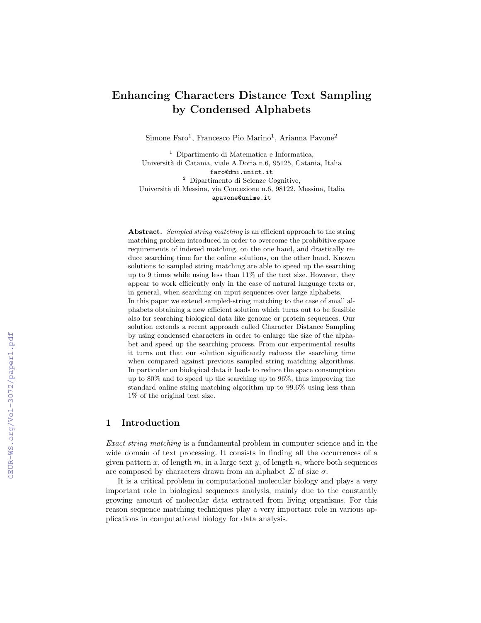# Enhancing Characters Distance Text Sampling by Condensed Alphabets

Simone Faro<sup>1</sup>, Francesco Pio Marino<sup>1</sup>, Arianna Pavone<sup>2</sup>

<sup>1</sup> Dipartimento di Matematica e Informatica, Universit`a di Catania, viale A.Doria n.6, 95125, Catania, Italia faro@dmi.unict.it <sup>2</sup> Dipartimento di Scienze Cognitive, Universit`a di Messina, via Concezione n.6, 98122, Messina, Italia apavone@unime.it

Abstract. Sampled string matching is an efficient approach to the string matching problem introduced in order to overcome the prohibitive space requirements of indexed matching, on the one hand, and drastically reduce searching time for the online solutions, on the other hand. Known solutions to sampled string matching are able to speed up the searching up to 9 times while using less than 11% of the text size. However, they appear to work efficiently only in the case of natural language texts or, in general, when searching on input sequences over large alphabets. In this paper we extend sampled-string matching to the case of small alphabets obtaining a new efficient solution which turns out to be feasible also for searching biological data like genome or protein sequences. Our solution extends a recent approach called Character Distance Sampling by using condensed characters in order to enlarge the size of the alphabet and speed up the searching process. From our experimental results it turns out that our solution significantly reduces the searching time when compared against previous sampled string matching algorithms. In particular on biological data it leads to reduce the space consumption up to 80% and to speed up the searching up to 96%, thus improving the standard online string matching algorithm up to 99.6% using less than 1% of the original text size.

# 1 Introduction

Exact string matching is a fundamental problem in computer science and in the wide domain of text processing. It consists in finding all the occurrences of a given pattern x, of length  $m$ , in a large text  $y$ , of length  $n$ , where both sequences are composed by characters drawn from an alphabet  $\Sigma$  of size  $\sigma$ .

It is a critical problem in computational molecular biology and plays a very important role in biological sequences analysis, mainly due to the constantly growing amount of molecular data extracted from living organisms. For this reason sequence matching techniques play a very important role in various applications in computational biology for data analysis.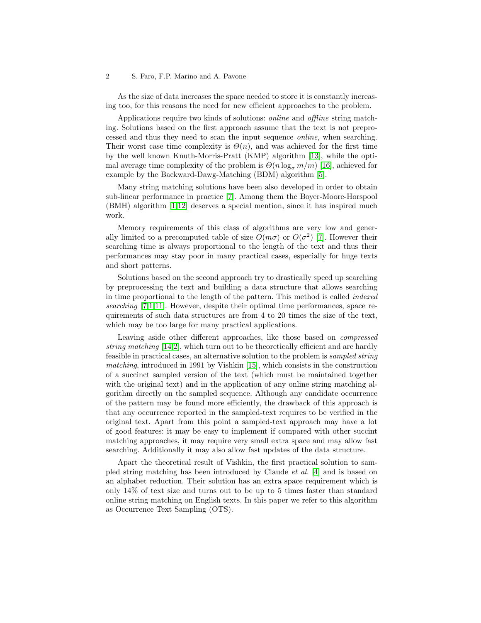#### 2 S. Faro, F.P. Marino and A. Pavone

As the size of data increases the space needed to store it is constantly increasing too, for this reasons the need for new efficient approaches to the problem.

Applications require two kinds of solutions: online and offline string matching. Solutions based on the first approach assume that the text is not preprocessed and thus they need to scan the input sequence online, when searching. Their worst case time complexity is  $\Theta(n)$ , and was achieved for the first time by the well known Knuth-Morris-Pratt (KMP) algorithm [\[13\]](#page-14-0), while the optimal average time complexity of the problem is  $\Theta(n \log_{\sigma} m/m)$  [\[16\]](#page-14-1), achieved for example by the Backward-Dawg-Matching (BDM) algorithm [\[5\]](#page-13-0).

Many string matching solutions have been also developed in order to obtain sub-linear performance in practice [\[7\]](#page-13-1). Among them the Boyer-Moore-Horspool (BMH) algorithm [\[1,](#page-13-2)[12\]](#page-14-2) deserves a special mention, since it has inspired much work.

Memory requirements of this class of algorithms are very low and generally limited to a precomputed table of size  $O(m\sigma)$  or  $O(\sigma^2)$  [\[7\]](#page-13-1). However their searching time is always proportional to the length of the text and thus their performances may stay poor in many practical cases, especially for huge texts and short patterns.

Solutions based on the second approach try to drastically speed up searching by preprocessing the text and building a data structure that allows searching in time proportional to the length of the pattern. This method is called indexed searching [\[7,](#page-13-1)[1,](#page-13-2)[11\]](#page-14-3). However, despite their optimal time performances, space requirements of such data structures are from 4 to 20 times the size of the text, which may be too large for many practical applications.

Leaving aside other different approaches, like those based on compressed string matching [\[14](#page-14-4)[,2\]](#page-13-3), which turn out to be theoretically efficient and are hardly feasible in practical cases, an alternative solution to the problem is sampled string matching, introduced in 1991 by Vishkin [\[15\]](#page-14-5), which consists in the construction of a succinct sampled version of the text (which must be maintained together with the original text) and in the application of any online string matching algorithm directly on the sampled sequence. Although any candidate occurrence of the pattern may be found more efficiently, the drawback of this approach is that any occurrence reported in the sampled-text requires to be verified in the original text. Apart from this point a sampled-text approach may have a lot of good features: it may be easy to implement if compared with other succint matching approaches, it may require very small extra space and may allow fast searching. Additionally it may also allow fast updates of the data structure.

Apart the theoretical result of Vishkin, the first practical solution to sampled string matching has been introduced by Claude et al. [\[4\]](#page-13-4) and is based on an alphabet reduction. Their solution has an extra space requirement which is only 14% of text size and turns out to be up to 5 times faster than standard online string matching on English texts. In this paper we refer to this algorithm as Occurrence Text Sampling (OTS).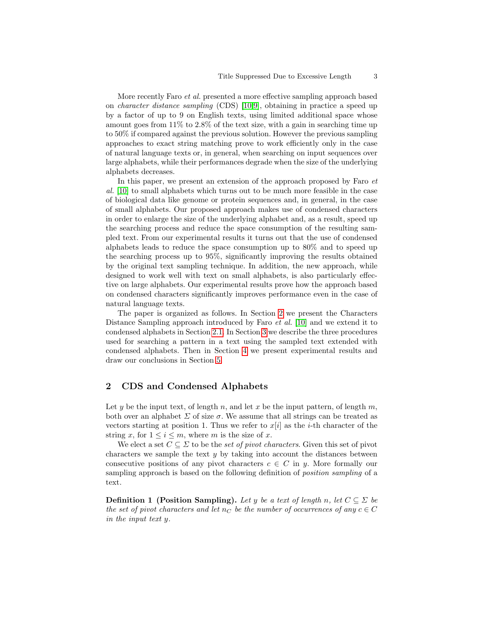More recently Faro et al. presented a more effective sampling approach based on character distance sampling (CDS) [\[10,](#page-14-6)[9\]](#page-14-7), obtaining in practice a speed up by a factor of up to 9 on English texts, using limited additional space whose amount goes from  $11\%$  to  $2.8\%$  of the text size, with a gain in searching time up to 50% if compared against the previous solution. However the previous sampling approaches to exact string matching prove to work efficiently only in the case of natural language texts or, in general, when searching on input sequences over large alphabets, while their performances degrade when the size of the underlying alphabets decreases.

In this paper, we present an extension of the approach proposed by Faro  $et$ al. [\[10\]](#page-14-6) to small alphabets which turns out to be much more feasible in the case of biological data like genome or protein sequences and, in general, in the case of small alphabets. Our proposed approach makes use of condensed characters in order to enlarge the size of the underlying alphabet and, as a result, speed up the searching process and reduce the space consumption of the resulting sampled text. From our experimental results it turns out that the use of condensed alphabets leads to reduce the space consumption up to 80% and to speed up the searching process up to 95%, significantly improving the results obtained by the original text sampling technique. In addition, the new approach, while designed to work well with text on small alphabets, is also particularly effective on large alphabets. Our experimental results prove how the approach based on condensed characters significantly improves performance even in the case of natural language texts.

The paper is organized as follows. In Section [2](#page-2-0) we present the Characters Distance Sampling approach introduced by Faro et al. [\[10\]](#page-14-6) and we extend it to condensed alphabets in Section [2.1.](#page-4-0) In Section [3](#page-5-0) we describe the three procedures used for searching a pattern in a text using the sampled text extended with condensed alphabets. Then in Section [4](#page-7-0) we present experimental results and draw our conclusions in Section [5.](#page-11-0)

# <span id="page-2-0"></span>2 CDS and Condensed Alphabets

Let y be the input text, of length n, and let x be the input pattern, of length m, both over an alphabet  $\Sigma$  of size  $\sigma$ . We assume that all strings can be treated as vectors starting at position 1. Thus we refer to  $x[i]$  as the *i*-th character of the string x, for  $1 \leq i \leq m$ , where m is the size of x.

We elect a set  $C \subseteq \Sigma$  to be the set of pivot characters. Given this set of pivot characters we sample the text  $y$  by taking into account the distances between consecutive positions of any pivot characters  $c \in C$  in y. More formally our sampling approach is based on the following definition of position sampling of a text.

**Definition 1** (Position Sampling). Let y be a text of length n, let  $C \subseteq \Sigma$  be the set of pivot characters and let  $n_C$  be the number of occurrences of any  $c \in C$ in the input text y.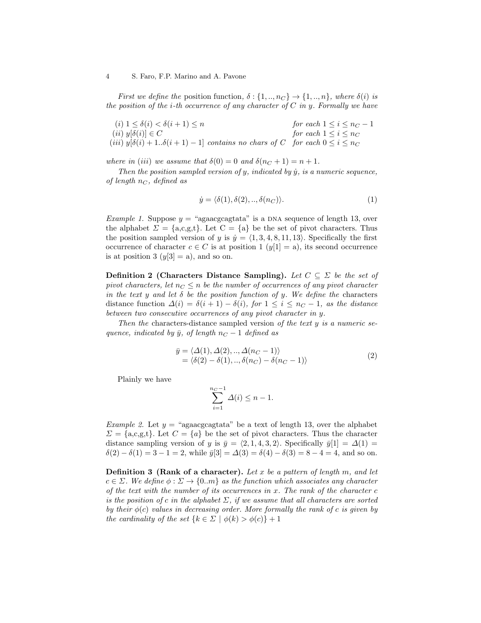#### 4 S. Faro, F.P. Marino and A. Pavone

First we define the position function,  $\delta: \{1, ..., n_C\} \to \{1, ..., n\}$ , where  $\delta(i)$  is the position of the *i*-th occurrence of any character of  $C$  in  $y$ . Formally we have

(i)  $1 \leq \delta(i) < \delta(i+1) \leq n$  for each  $1 \leq i \leq n_C - 1$ (ii)  $y[\delta(i)] \in C$  for each  $1 \leq i \leq n_C$ (iii)  $y[\delta(i) + 1..\delta(i+1) - 1]$  contains no chars of C for each  $0 \le i \le n_C$ 

where in (iii) we assume that  $\delta(0) = 0$  and  $\delta(n_C + 1) = n + 1$ .

Then the position sampled version of  $y$ , indicated by  $\dot{y}$ , is a numeric sequence, of length  $n<sub>C</sub>$ , defined as

$$
\dot{y} = \langle \delta(1), \delta(2), \dots, \delta(n_C) \rangle.
$$
\n(1)

*Example 1.* Suppose  $y =$  "agaacgcagtata" is a DNA sequence of length 13, over the alphabet  $\Sigma = \{a,c,g,t\}$ . Let  $C = \{a\}$  be the set of pivot characters. Thus the position sampled version of y is  $\dot{y} = \langle 1, 3, 4, 8, 11, 13 \rangle$ . Specifically the first occurrence of character  $c \in C$  is at position 1  $(y[1] = a)$ , its second occurrence is at position 3  $(y[3] = a)$ , and so on.

**Definition 2 (Characters Distance Sampling).** Let  $C \subseteq \Sigma$  be the set of pivot characters, let  $n_C \leq n$  be the number of occurrences of any pivot character in the text y and let  $\delta$  be the position function of y. We define the characters distance function  $\Delta(i) = \delta(i+1) - \delta(i)$ , for  $1 \leq i \leq n<sub>C</sub> - 1$ , as the distance between two consecutive occurrences of any pivot character in y.

Then the characters-distance sampled version of the text  $y$  is a numeric sequence, indicated by  $\bar{y}$ , of length  $n<sub>C</sub> - 1$  defined as

<span id="page-3-1"></span>
$$
\overline{y} = \langle \Delta(1), \Delta(2), \dots, \Delta(n_C - 1) \rangle
$$
  
=  $\langle \delta(2) - \delta(1), \dots, \delta(n_C) - \delta(n_C - 1) \rangle$  (2)

Plainly we have

$$
\sum_{i=1}^{n_C-1} \Delta(i) \le n-1.
$$

Example 2. Let  $y =$  "agaacgcagtata" be a text of length 13, over the alphabet  $\Sigma = \{a,c,g,t\}$ . Let  $C = \{a\}$  be the set of pivot characters. Thus the character distance sampling version of y is  $\bar{y} = \langle 2, 1, 4, 3, 2 \rangle$ . Specifically  $\bar{y}[1] = \Delta(1) =$  $\delta(2) - \delta(1) = 3 - 1 = 2$ , while  $\bar{y}[3] = \Delta(3) = \delta(4) - \delta(3) = 8 - 4 = 4$ , and so on.

<span id="page-3-0"></span>**Definition 3 (Rank of a character).** Let x be a pattern of length m, and let  $c \in \Sigma$ . We define  $\phi : \Sigma \to \{0, m\}$  as the function which associates any character of the text with the number of its occurrences in  $x$ . The rank of the character  $c$ is the position of c in the alphabet  $\Sigma$ , if we assume that all characters are sorted by their  $\phi(c)$  values in decreasing order. More formally the rank of c is given by the cardinality of the set  ${k \in \Sigma \mid \phi(k) > \phi(c)} + 1$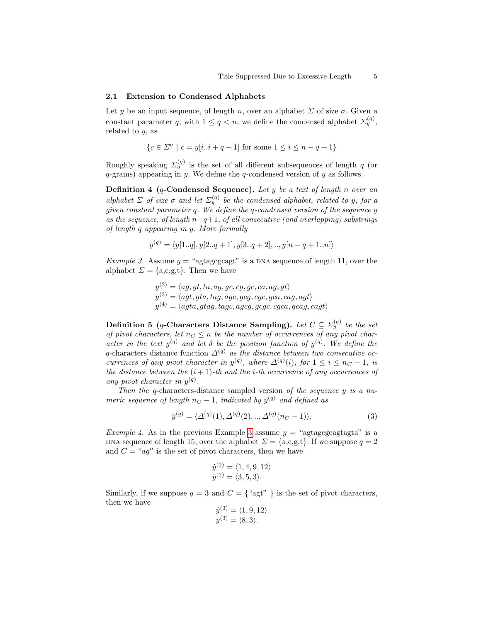#### <span id="page-4-0"></span>2.1 Extension to Condensed Alphabets

Let y be an input sequence, of length n, over an alphabet  $\Sigma$  of size  $\sigma$ . Given a constant parameter q, with  $1 \le q < n$ , we define the condensed alphabet  $\Sigma_y^{(q)}$ , related to  $y$ , as

$$
\{c \in \Sigma^q \mid c = y[i..i + q - 1] \text{ for some } 1 \le i \le n - q + 1\}
$$

Roughly speaking  $\Sigma_g^{(q)}$  is the set of all different subsequences of length q (or  $q$ -grams) appearing in  $y$ . We define the  $q$ -condensed version of  $y$  as follows.

**Definition 4 (q-Condensed Sequence).** Let y be a text of length n over an alphabet  $\Sigma$  of size  $\sigma$  and let  $\Sigma_y^{(q)}$  be the condensed alphabet, related to y, for a given constant parameter q. We define the q-condensed version of the sequence y as the sequence, of length  $n-q+1$ , of all consecutive (and overlapping) substrings of length q appearing in y. More formally

$$
y^{(q)} = \langle y[1..q], y[2..q+1], y[3..q+2], ..., y[n-q+1..n] \rangle
$$

<span id="page-4-1"></span>Example 3. Assume  $y =$  "agtagcgcagt" is a DNA sequence of length 11, over the alphabet  $\Sigma = \{a,c,g,t\}$ . Then we have

- $y^{(2)} = \langle ag, gt, ta, ag, gc, cg, gc, ca, ag, gt \rangle$  $y^{(3)} = \langle agt, gta, tag, age, gcg, cgc, gca, cag, agt \rangle$
- $y^{(4)} = \langle agta, gtag, tagc, ageg, gcgc, cgca, gcag, cagt \rangle$

<span id="page-4-2"></span>Definition 5 (q-Characters Distance Sampling). Let  $C \subseteq \varSigma_{y}^{(q)}$  be the set of pivot characters, let  $n_C \leq n$  be the number of occurrences of any pivot character in the text  $y^{(q)}$  and let  $\delta$  be the position function of  $y^{(q)}$ . We define the q-characters distance function  $\Delta^{(q)}$  as the distance between two consecutive occurrences of any pivot character in  $y^{(q)}$ , where  $\Delta^{(q)}(i)$ , for  $1 \leq i \leq n<sub>C</sub> - 1$ , is the distance between the  $(i + 1)$ -th and the *i*-th occurrence of any occurrences of any pivot character in  $y^{(q)}$ .

Then the q-characters-distance sampled version of the sequence y is a numeric sequence of length  $n_C - 1$ , indicated by  $\bar{y}^{(q)}$  and defined as

$$
\bar{y}^{(q)} = \langle \Delta^{(q)}(1), \Delta^{(q)}(2), \dots, \Delta^{(q)}(n_C - 1) \rangle.
$$
 (3)

*Example 4.* As in the previous Example [3](#page-4-1) assume  $y =$  "agtagcgcagtagta" is a DNA sequence of length 15, over the alphabet  $\Sigma = \{a,c,g,t\}$ . If we suppose  $q = 2$ and  $C = "aq"$  is the set of pivot characters, then we have

$$
\dot{y}^{(2)} = \langle 1, 4, 9, 12 \rangle
$$
  

$$
\bar{y}^{(2)} = \langle 3, 5, 3 \rangle.
$$

Similarly, if we suppose  $q = 3$  and  $C = \{\text{``agt'' }\}$  is the set of pivot characters, then we have

$$
\dot{y}^{(3)} = \langle 1, 9, 12 \rangle
$$
  

$$
\bar{y}^{(3)} = \langle 8, 3 \rangle.
$$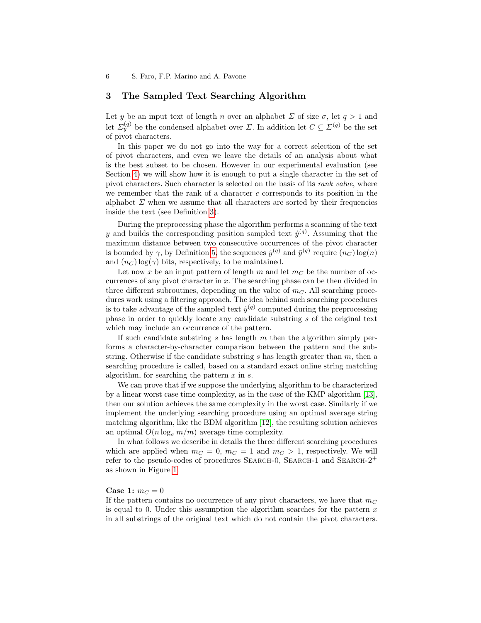# <span id="page-5-0"></span>3 The Sampled Text Searching Algorithm

Let y be an input text of length n over an alphabet  $\Sigma$  of size  $\sigma$ , let  $q > 1$  and let  $\Sigma_g^{(q)}$  be the condensed alphabet over  $\Sigma$ . In addition let  $C \subseteq \Sigma^{(q)}$  be the set of pivot characters.

In this paper we do not go into the way for a correct selection of the set of pivot characters, and even we leave the details of an analysis about what is the best subset to be chosen. However in our experimental evaluation (see Section [4\)](#page-7-0) we will show how it is enough to put a single character in the set of pivot characters. Such character is selected on the basis of its rank value, where we remember that the rank of a character  $c$  corresponds to its position in the alphabet  $\Sigma$  when we assume that all characters are sorted by their frequencies inside the text (see Definition [3\)](#page-3-0).

During the preprocessing phase the algorithm performs a scanning of the text y and builds the corresponding position sampled text  $\dot{y}^{(q)}$ . Assuming that the maximum distance between two consecutive occurrences of the pivot character is bounded by  $\gamma$ , by Definition [5,](#page-4-2) the sequences  $\dot{y}^{(q)}$  and  $\bar{y}^{(q)}$  require  $(n_C) \log(n)$ and  $(n_C) \log(\gamma)$  bits, respectively, to be maintained.

Let now x be an input pattern of length m and let  $m<sub>C</sub>$  be the number of occurrences of any pivot character in  $x$ . The searching phase can be then divided in three different subroutines, depending on the value of  $m<sub>C</sub>$ . All searching procedures work using a filtering approach. The idea behind such searching procedures is to take advantage of the sampled text  $\dot{y}^{(q)}$  computed during the preprocessing phase in order to quickly locate any candidate substring s of the original text which may include an occurrence of the pattern.

If such candidate substring  $s$  has length  $m$  then the algorithm simply performs a character-by-character comparison between the pattern and the substring. Otherwise if the candidate substring  $s$  has length greater than  $m$ , then a searching procedure is called, based on a standard exact online string matching algorithm, for searching the pattern  $x$  in  $s$ .

We can prove that if we suppose the underlying algorithm to be characterized by a linear worst case time complexity, as in the case of the KMP algorithm [\[13\]](#page-14-0), then our solution achieves the same complexity in the worst case. Similarly if we implement the underlying searching procedure using an optimal average string matching algorithm, like the BDM algorithm [\[12\]](#page-14-2), the resulting solution achieves an optimal  $O(n \log_{\sigma} m/m)$  average time complexity.

In what follows we describe in details the three different searching procedures which are applied when  $m_C = 0$ ,  $m_C = 1$  and  $m_C > 1$ , respectively. We will refer to the pseudo-codes of procedures SEARCH-0, SEARCH-1 and SEARCH- $2^+$ as shown in Figure [1.](#page-6-0)

# Case 1:  $m_C = 0$

If the pattern contains no occurrence of any pivot characters, we have that  $m<sub>C</sub>$ is equal to 0. Under this assumption the algorithm searches for the pattern  $x$ in all substrings of the original text which do not contain the pivot characters.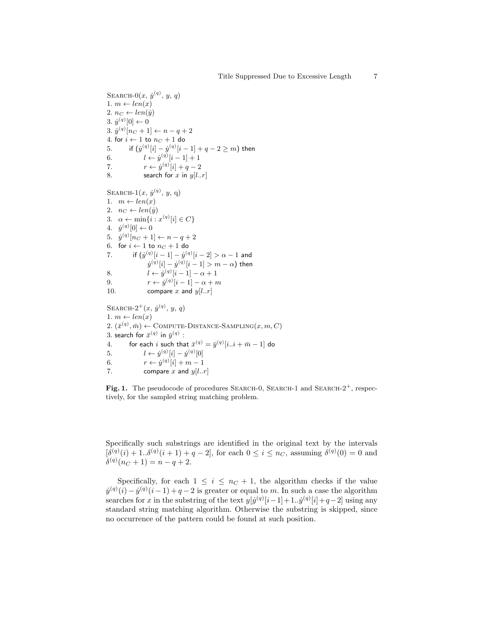```
SEARCH-0(x, \dot{y}^{(q)}, y, q)1. m \leftarrow len(x)2. n_C \leftarrow len(y)3. \dot{y}^{(q)}[0] \leftarrow 03. \dot{y}^{(q)}[n_C+1] \leftarrow n - q + 24. for i \leftarrow 1 to n_C + 1 do
5. if (\dot{y}^{(q)}[i] - \dot{y}^{(q)}[i-1] + q - 2 \geq m) then
6. l \leftarrow \dot{y}^{(q)}[i-1] + 17. r \leftarrow \dot{y}^{(q)}[i] + q - 28. search for x in y[l..r]SEARCH-1(x, \dot{y}^{(q)}, y, q)1. m \leftarrow len(x)2. nc \leftarrow len(\dot{y})3. \alpha \leftarrow \min\{i : x^{(q)}[i] \in C\}4. \dot{y}^{(q)}[0] \leftarrow 05. \dot{y}^{(q)}[n_C+1] \leftarrow n - q + 26. for i \leftarrow 1 to n_C + 1 do
7. if (\dot y^{(q)}[i-1]-\dot y^{(q)}[i-2]>\alpha-1 and
                  \dot y^{(q)}[i]-\dot y^{(q)}[i-1]>m-\alpha) then
8. l \leftarrow \dot{y}^{(q)}[i-1] - \alpha + 19. r \leftarrow \dot{y}^{(q)}[i-1] - \alpha + m10. compare x and y[l..r]SEARCH-2^+(x, y^{(q)}, y, q)1. m \leftarrow len(x)2. (\bar{x}^{(q)}, \bar{m}) \leftarrow \text{COMPUTE-DISTANCE-SAMPLING}(x, m, C)3. search for \bar{x}^{(q)} in \bar{y}^{(q)} :
4. for each i such that \bar{x}^{(q)} = \bar{y}^{(q)}[i..i + \bar{m} - 1] do
5. l \leftarrow \dot{y}^{(q)}[i] - \dot{y}^{(q)}[0]6. r \leftarrow \dot{y}^{(q)}[i] + m - 17. compare x and y[l..r]
```
<span id="page-6-0"></span>Fig. 1. The pseudocode of procedures SEARCH-0, SEARCH-1 and SEARCH-2<sup>+</sup>, respectively, for the sampled string matching problem.

Specifically such substrings are identified in the original text by the intervals  $[\delta^{(q)}(i) + 1..\delta^{(q)}(i+1) + q - 2]$ , for each  $0 \le i \le n_C$ , assuming  $\delta^{(q)}(0) = 0$  and  $\delta^{(q)}(n_C+1) = n - q + 2.$ 

Specifically, for each  $1 \leq i \leq n_C + 1$ , the algorithm checks if the value  $\dot{y}^{(q)}(i) - \dot{y}^{(q)}(i-1) + q - 2$  is greater or equal to m. In such a case the algorithm searches for x in the substring of the text  $y[j^{(q)}|i-1]+1..j^{(q)}|i|+q-2$  using any standard string matching algorithm. Otherwise the substring is skipped, since no occurrence of the pattern could be found at such position.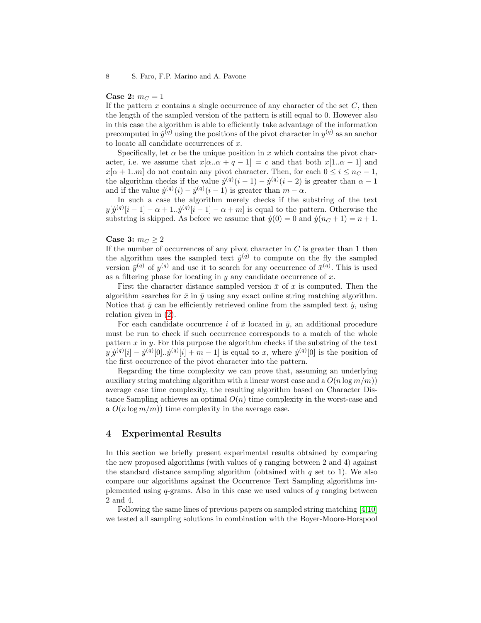#### 8 S. Faro, F.P. Marino and A. Pavone

#### **Case 2:**  $m_C = 1$

If the pattern  $x$  contains a single occurrence of any character of the set  $C$ , then the length of the sampled version of the pattern is still equal to 0. However also in this case the algorithm is able to efficiently take advantage of the information precomputed in  $\dot{y}^{(q)}$  using the positions of the pivot character in  $y^{(q)}$  as an anchor to locate all candidate occurrences of  $x$ .

Specifically, let  $\alpha$  be the unique position in x which contains the pivot character, i.e. we assume that  $x[\alpha..\alpha + q - 1] = c$  and that both  $x[1..\alpha - 1]$  and  $x[\alpha+1..m]$  do not contain any pivot character. Then, for each  $0 \leq i \leq n<sub>C</sub> - 1$ , the algorithm checks if the value  $\dot{y}^{(q)}(i-1) - \dot{y}^{(q)}(i-2)$  is greater than  $\alpha - 1$ and if the value  $\dot{y}^{(q)}(i) - \dot{y}^{(q)}(i-1)$  is greater than  $m - \alpha$ .

In such a case the algorithm merely checks if the substring of the text  $y[j^{(q)}[i-1]-\alpha+1..j^{(q)}[i-1]-\alpha+m]$  is equal to the pattern. Otherwise the substring is skipped. As before we assume that  $\dot{y}(0) = 0$  and  $\dot{y}(n_C + 1) = n + 1$ .

### Case 3:  $m_C \geq 2$

If the number of occurrences of any pivot character in  $C$  is greater than 1 then the algorithm uses the sampled text  $\dot{y}^{(q)}$  to compute on the fly the sampled version  $\bar{y}^{(q)}$  of  $y^{(q)}$  and use it to search for any occurrence of  $\bar{x}^{(q)}$ . This is used as a filtering phase for locating in  $y$  any candidate occurrence of  $x$ .

First the character distance sampled version  $\bar{x}$  of x is computed. Then the algorithm searches for  $\bar{x}$  in  $\bar{y}$  using any exact online string matching algorithm. Notice that  $\bar{y}$  can be efficiently retrieved online from the sampled text  $\dot{y}$ , using relation given in [\(2\)](#page-3-1).

For each candidate occurrence i of  $\bar{x}$  located in  $\bar{y}$ , an additional procedure must be run to check if such occurrence corresponds to a match of the whole pattern  $x$  in  $y$ . For this purpose the algorithm checks if the substring of the text  $y[j^{(q)}[i] - j^{(q)}[0] \cdot j^{(q)}[i] + m - 1$  is equal to x, where  $j^{(q)}[0]$  is the position of the first occurrence of the pivot character into the pattern.

Regarding the time complexity we can prove that, assuming an underlying auxiliary string matching algorithm with a linear worst case and a  $O(n \log m/m)$ average case time complexity, the resulting algorithm based on Character Distance Sampling achieves an optimal  $O(n)$  time complexity in the worst-case and a  $O(n \log m/m)$  time complexity in the average case.

#### <span id="page-7-0"></span>4 Experimental Results

In this section we briefly present experimental results obtained by comparing the new proposed algorithms (with values of  $q$  ranging between 2 and 4) against the standard distance sampling algorithm (obtained with  $q$  set to 1). We also compare our algorithms against the Occurrence Text Sampling algorithms implemented using  $q$ -grams. Also in this case we used values of  $q$  ranging between 2 and 4.

Following the same lines of previous papers on sampled string matching [\[4,](#page-13-4)[10\]](#page-14-6) we tested all sampling solutions in combination with the Boyer-Moore-Horspool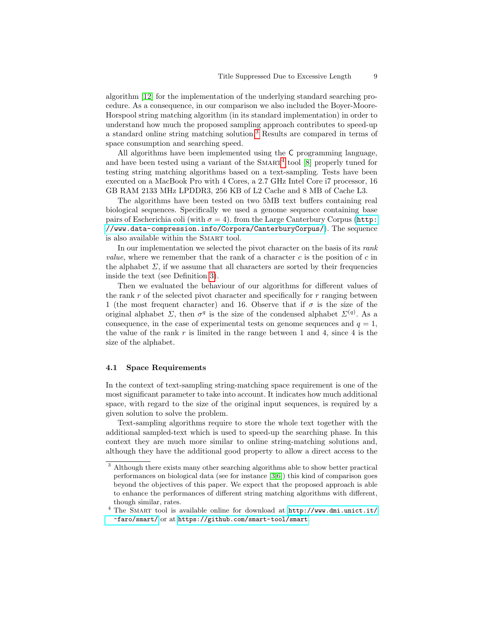algorithm [\[12\]](#page-14-2) for the implementation of the underlying standard searching procedure. As a consequence, in our comparison we also included the Boyer-Moore-Horspool string matching algorithm (in its standard implementation) in order to understand how much the proposed sampling approach contributes to speed-up a standard online string matching solution.[3](#page-8-0) Results are compared in terms of space consumption and searching speed.

All algorithms have been implemented using the C programming language, and have been tested using a variant of the  $S_{\text{MART}}^4$  $S_{\text{MART}}^4$  tool [\[8\]](#page-13-5) properly tuned for testing string matching algorithms based on a text-sampling. Tests have been executed on a MacBook Pro with 4 Cores, a 2.7 GHz Intel Core i7 processor, 16 GB RAM 2133 MHz LPDDR3, 256 KB of L2 Cache and 8 MB of Cache L3.

The algorithms have been tested on two 5MB text buffers containing real biological sequences. Specifically we used a genome sequence containing base pairs of Escherichia coli (with  $\sigma = 4$ ). from the Large Canterbury Corpus ([http:](http://www.data-compression.info/Corpora/CanterburyCorpus/) [//www.data-compression.info/Corpora/CanterburyCorpus/](http://www.data-compression.info/Corpora/CanterburyCorpus/)). The sequence is also available within the SMART tool.

In our implementation we selected the pivot character on the basis of its rank *value*, where we remember that the rank of a character c is the position of c in the alphabet  $\Sigma$ , if we assume that all characters are sorted by their frequencies inside the text (see Definition [3\)](#page-3-0).

Then we evaluated the behaviour of our algorithms for different values of the rank  $r$  of the selected pivot character and specifically for  $r$  ranging between 1 (the most frequent character) and 16. Observe that if  $\sigma$  is the size of the original alphabet  $\Sigma$ , then  $\sigma^q$  is the size of the condensed alphabet  $\Sigma^{(q)}$ . As a consequence, in the case of experimental tests on genome sequences and  $q = 1$ , the value of the rank  $r$  is limited in the range between 1 and 4, since 4 is the size of the alphabet.

#### 4.1 Space Requirements

In the context of text-sampling string-matching space requirement is one of the most significant parameter to take into account. It indicates how much additional space, with regard to the size of the original input sequences, is required by a given solution to solve the problem.

Text-sampling algorithms require to store the whole text together with the additional sampled-text which is used to speed-up the searching phase. In this context they are much more similar to online string-matching solutions and, although they have the additional good property to allow a direct access to the

<span id="page-8-0"></span><sup>3</sup> Although there exists many other searching algorithms able to show better practical performances on biological data (see for instance [\[3,](#page-13-6)[6\]](#page-13-7)) this kind of comparison goes beyond the objectives of this paper. We expect that the proposed approach is able to enhance the performances of different string matching algorithms with different, though similar, rates.

<span id="page-8-1"></span><sup>&</sup>lt;sup>4</sup> The SMART tool is available online for download at  $http://www.dmi.unict.it/$ [~faro/smart/](http://www.dmi.unict.it/~faro/smart/) or at <https://github.com/smart-tool/smart>.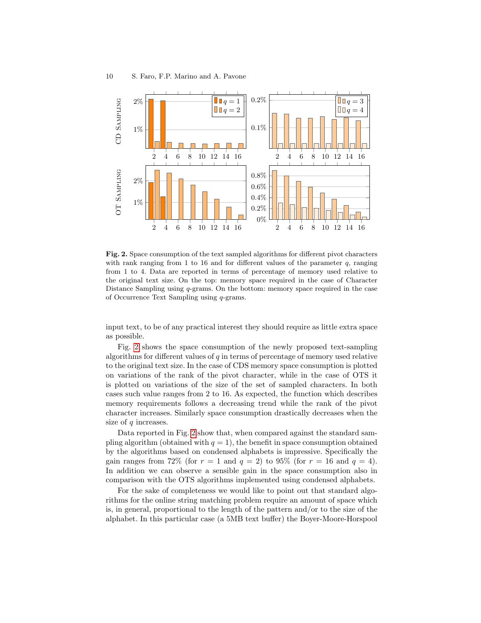

<span id="page-9-0"></span>Fig. 2. Space consumption of the text sampled algorithms for different pivot characters with rank ranging from 1 to 16 and for different values of the parameter  $q$ , ranging from 1 to 4. Data are reported in terms of percentage of memory used relative to the original text size. On the top: memory space required in the case of Character Distance Sampling using *q*-grams. On the bottom: memory space required in the case of Occurrence Text Sampling using q-grams.

input text, to be of any practical interest they should require as little extra space as possible.

Fig. [2](#page-9-0) shows the space consumption of the newly proposed text-sampling algorithms for different values of  $q$  in terms of percentage of memory used relative to the original text size. In the case of CDS memory space consumption is plotted on variations of the rank of the pivot character, while in the case of OTS it is plotted on variations of the size of the set of sampled characters. In both cases such value ranges from 2 to 16. As expected, the function which describes memory requirements follows a decreasing trend while the rank of the pivot character increases. Similarly space consumption drastically decreases when the size of  $q$  increases.

Data reported in Fig. [2](#page-9-0) show that, when compared against the standard sampling algorithm (obtained with  $q = 1$ ), the benefit in space consumption obtained by the algorithms based on condensed alphabets is impressive. Specifically the gain ranges from 72% (for  $r = 1$  and  $q = 2$ ) to 95% (for  $r = 16$  and  $q = 4$ ). In addition we can observe a sensible gain in the space consumption also in comparison with the OTS algorithms implemented using condensed alphabets.

For the sake of completeness we would like to point out that standard algorithms for the online string matching problem require an amount of space which is, in general, proportional to the length of the pattern and/or to the size of the alphabet. In this particular case (a 5MB text buffer) the Boyer-Moore-Horspool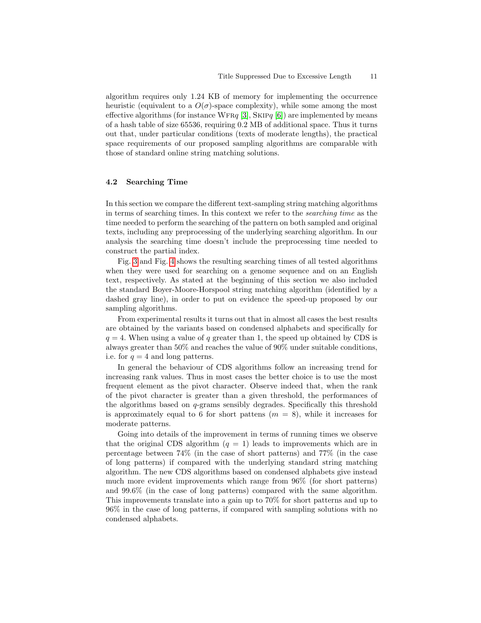algorithm requires only 1.24 KB of memory for implementing the occurrence heuristic (equivalent to a  $O(\sigma)$ -space complexity), while some among the most effective algorithms (for instance WFR $q$  [\[3\]](#page-13-6), SKIP $q$  [\[6\]](#page-13-7)) are implemented by means of a hash table of size 65536, requiring 0.2 MB of additional space. Thus it turns out that, under particular conditions (texts of moderate lengths), the practical space requirements of our proposed sampling algorithms are comparable with those of standard online string matching solutions.

#### 4.2 Searching Time

In this section we compare the different text-sampling string matching algorithms in terms of searching times. In this context we refer to the searching time as the time needed to perform the searching of the pattern on both sampled and original texts, including any preprocessing of the underlying searching algorithm. In our analysis the searching time doesn't include the preprocessing time needed to construct the partial index.

Fig. [3](#page-11-1) and Fig. [4](#page-12-0) shows the resulting searching times of all tested algorithms when they were used for searching on a genome sequence and on an English text, respectively. As stated at the beginning of this section we also included the standard Boyer-Moore-Horspool string matching algorithm (identified by a dashed gray line), in order to put on evidence the speed-up proposed by our sampling algorithms.

From experimental results it turns out that in almost all cases the best results are obtained by the variants based on condensed alphabets and specifically for  $q = 4$ . When using a value of q greater than 1, the speed up obtained by CDS is always greater than 50% and reaches the value of 90% under suitable conditions, i.e. for  $q = 4$  and long patterns.

In general the behaviour of CDS algorithms follow an increasing trend for increasing rank values. Thus in most cases the better choice is to use the most frequent element as the pivot character. Observe indeed that, when the rank of the pivot character is greater than a given threshold, the performances of the algorithms based on q-grams sensibly degrades. Specifically this threshold is approximately equal to 6 for short pattens  $(m = 8)$ , while it increases for moderate patterns.

Going into details of the improvement in terms of running times we observe that the original CDS algorithm  $(q = 1)$  leads to improvements which are in percentage between 74% (in the case of short patterns) and 77% (in the case of long patterns) if compared with the underlying standard string matching algorithm. The new CDS algorithms based on condensed alphabets give instead much more evident improvements which range from 96% (for short patterns) and 99.6% (in the case of long patterns) compared with the same algorithm. This improvements translate into a gain up to 70% for short patterns and up to 96% in the case of long patterns, if compared with sampling solutions with no condensed alphabets.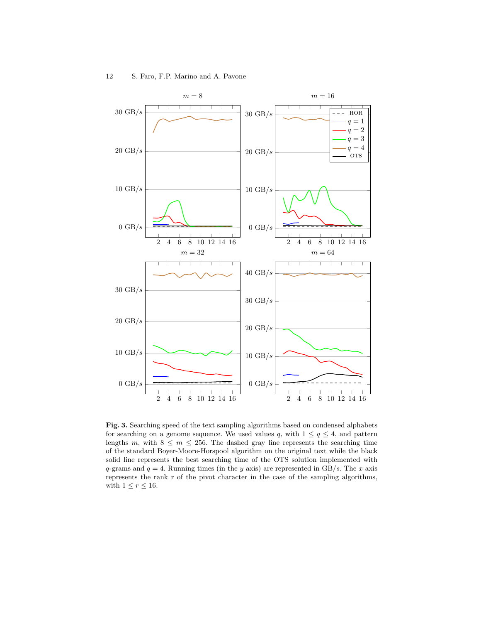

<span id="page-11-1"></span><span id="page-11-0"></span>Fig. 3. Searching speed of the text sampling algorithms based on condensed alphabets for searching on a genome sequence. We used values q, with  $1 \le q \le 4$ , and pattern lengths m, with  $8 \le m \le 256$ . The dashed gray line represents the searching time of the standard Boyer-Moore-Horspool algorithm on the original text while the black solid line represents the best searching time of the OTS solution implemented with q-grams and  $q = 4$ . Running times (in the y axis) are represented in GB/s. The x axis represents the rank r of the pivot character in the case of the sampling algorithms, with  $1 \leq r \leq 16$ .

 $0 \text{ GB}/s$ 

 $10 \text{ GB}/s$ 

 $20 \text{ GB}/s$ 

2 4 6 8 10 12 14 16

2 4 6 8 10 12 14 16

 $0 \text{ GB}/s$ 

 $10 \text{ GB}/s$ 

 $20 \text{ GB/s}$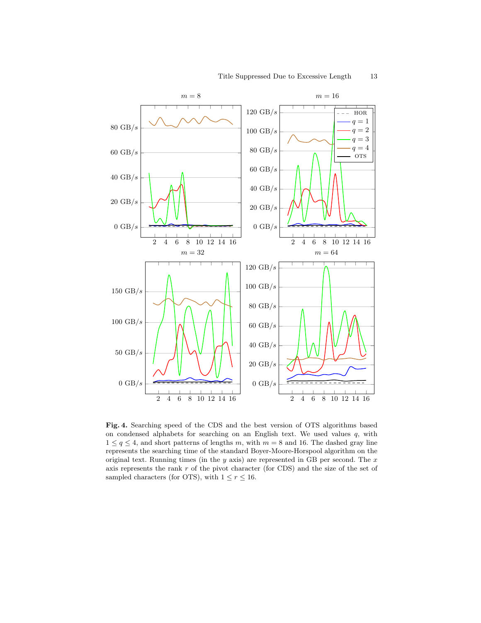

<span id="page-12-0"></span>Fig. 4. Searching speed of the CDS and the best version of OTS algorithms based on condensed alphabets for searching on an English text. We used values  $q$ , with  $1 \leq q \leq 4$ , and short patterns of lengths m, with  $m = 8$  and 16. The dashed gray line represents the searching time of the standard Boyer-Moore-Horspool algorithm on the original text. Running times (in the  $y$  axis) are represented in GB per second. The  $x$ axis represents the rank r of the pivot character (for CDS) and the size of the set of sampled characters (for OTS), with  $1 \le r \le 16$ .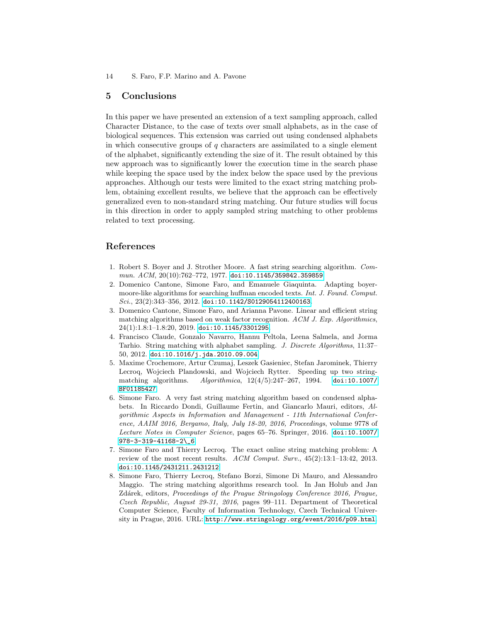### 5 Conclusions

In this paper we have presented an extension of a text sampling approach, called Character Distance, to the case of texts over small alphabets, as in the case of biological sequences. This extension was carried out using condensed alphabets in which consecutive groups of  $q$  characters are assimilated to a single element of the alphabet, significantly extending the size of it. The result obtained by this new approach was to significantly lower the execution time in the search phase while keeping the space used by the index below the space used by the previous approaches. Although our tests were limited to the exact string matching problem, obtaining excellent results, we believe that the approach can be effectively generalized even to non-standard string matching. Our future studies will focus in this direction in order to apply sampled string matching to other problems related to text processing.

# References

- <span id="page-13-2"></span>1. Robert S. Boyer and J. Strother Moore. A fast string searching algorithm. Com $mun.$   $ACM$ ,  $20(10):762-772$ , 1977. [doi:10.1145/359842.359859](https://doi.org/10.1145/359842.359859).
- <span id="page-13-3"></span>2. Domenico Cantone, Simone Faro, and Emanuele Giaquinta. Adapting boyermoore-like algorithms for searching huffman encoded texts. Int. J. Found. Comput. Sci., 23(2):343-356, 2012. [doi:10.1142/S0129054112400163](https://doi.org/10.1142/S0129054112400163).
- <span id="page-13-6"></span>3. Domenico Cantone, Simone Faro, and Arianna Pavone. Linear and efficient string matching algorithms based on weak factor recognition. ACM J. Exp. Algorithmics, 24(1):1.8:1–1.8:20, 2019. [doi:10.1145/3301295](https://doi.org/10.1145/3301295).
- <span id="page-13-4"></span>4. Francisco Claude, Gonzalo Navarro, Hannu Peltola, Leena Salmela, and Jorma Tarhio. String matching with alphabet sampling. J. Discrete Algorithms, 11:37– 50, 2012. [doi:10.1016/j.jda.2010.09.004](https://doi.org/10.1016/j.jda.2010.09.004).
- <span id="page-13-0"></span>5. Maxime Crochemore, Artur Czumaj, Leszek Gasieniec, Stefan Jarominek, Thierry Lecroq, Wojciech Plandowski, and Wojciech Rytter. Speeding up two stringmatching algorithms. Algorithmica, 12(4/5):247–267, 1994. [doi:10.1007/](https://doi.org/10.1007/BF01185427) [BF01185427](https://doi.org/10.1007/BF01185427).
- <span id="page-13-7"></span>6. Simone Faro. A very fast string matching algorithm based on condensed alphabets. In Riccardo Dondi, Guillaume Fertin, and Giancarlo Mauri, editors, Algorithmic Aspects in Information and Management - 11th International Conference, AAIM 2016, Bergamo, Italy, July 18-20, 2016, Proceedings, volume 9778 of Lecture Notes in Computer Science, pages 65–76. Springer, 2016. [doi:10.1007/](https://doi.org/10.1007/978-3-319-41168-2_6) [978-3-319-41168-2\\\_6](https://doi.org/10.1007/978-3-319-41168-2_6).
- <span id="page-13-1"></span>7. Simone Faro and Thierry Lecroq. The exact online string matching problem: A review of the most recent results. ACM Comput. Surv., 45(2):13:1–13:42, 2013. [doi:10.1145/2431211.2431212](https://doi.org/10.1145/2431211.2431212).
- <span id="page-13-5"></span>8. Simone Faro, Thierry Lecroq, Stefano Borzi, Simone Di Mauro, and Alessandro Maggio. The string matching algorithms research tool. In Jan Holub and Jan Zdárek, editors, Proceedings of the Prague Stringology Conference 2016, Prague, Czech Republic, August 29-31, 2016, pages 99–111. Department of Theoretical Computer Science, Faculty of Information Technology, Czech Technical University in Prague, 2016. URL: <http://www.stringology.org/event/2016/p09.html>.